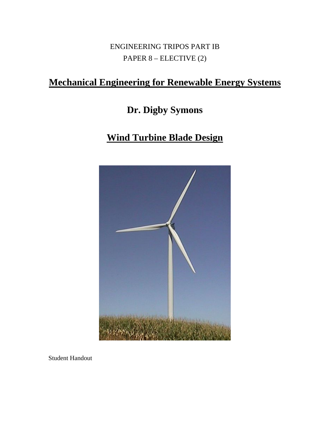ENGINEERING TRIPOS PART IB PAPER 8 – ELECTIVE (2)

# **Mechanical Engineering for Renewable Energy Systems**

# **Dr. Digby Symons**

# **Wind Turbine Blade Design**



Student Handout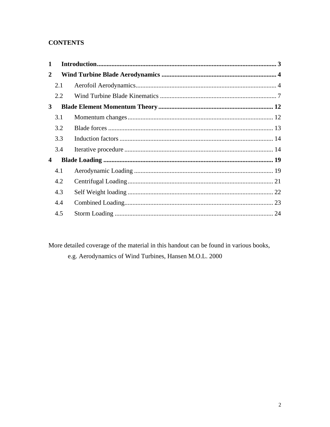## **CONTENTS**

| 2.1 |  |
|-----|--|
| 2.2 |  |
|     |  |
| 3.1 |  |
| 3.2 |  |
| 3.3 |  |
| 3.4 |  |
|     |  |
| 4.1 |  |
| 4.2 |  |
| 4.3 |  |
| 4.4 |  |
| 4.5 |  |
|     |  |

More detailed coverage of the material in this handout can be found in various books,

e.g. Aerodynamics of Wind Turbines, Hansen M.O.L. 2000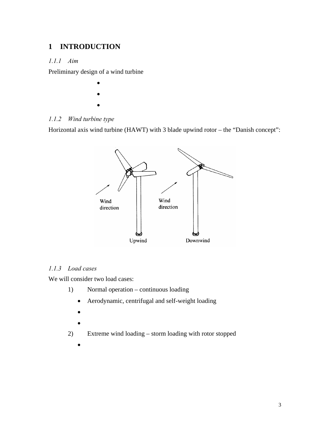## <span id="page-2-0"></span>**1 INTRODUCTION**

#### *1.1.1 Aim*

Preliminary design of a wind turbine

- •
- •

## *1.1.2 Wind turbine type*

Horizontal axis wind turbine (HAWT) with 3 blade upwind rotor – the "Danish concept":



#### *1.1.3 Load cases*

We will consider two load cases:

- 1) Normal operation continuous loading
	- Aerodynamic, centrifugal and self-weight loading
	- •
	- •
- 2) Extreme wind loading storm loading with rotor stopped
	- •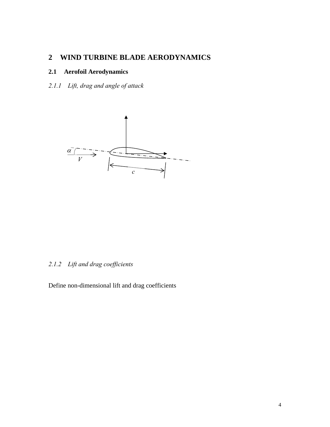## <span id="page-3-0"></span>**2 WIND TURBINE BLADE AERODYNAMICS**

#### **2.1 Aerofoil Aerodynamics**

## *2.1.1 Lift, drag and angle of attack*



#### *2.1.2 Lift and drag coefficients*

Define non-dimensional lift and drag coefficients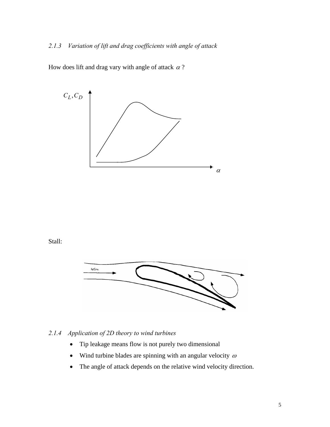### *2.1.3 Variation of lift and drag coefficients with angle of attack*

How does lift and drag vary with angle of attack  $\alpha$ ?



#### *2.1.4 Application of 2D theory to wind turbines*

- Tip leakage means flow is not purely two dimensional
- Wind turbine blades are spinning with an angular velocity  $\omega$
- The angle of attack depends on the relative wind velocity direction.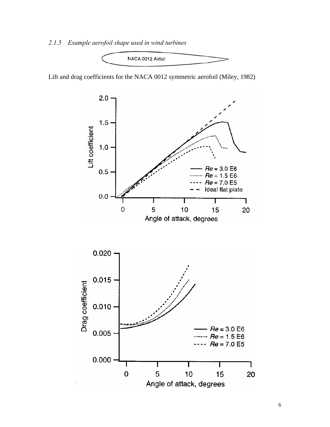#### *2.1.5 Example aerofoil shape used in wind turbines*



Lift and drag coefficients for the NACA 0012 symmetric aerofoil (Miley, 1982)

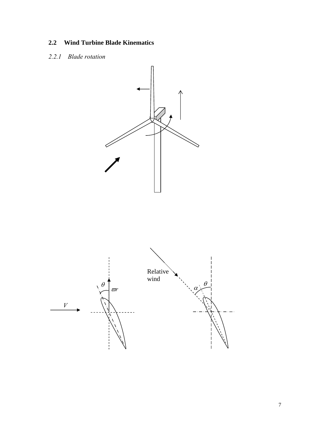## <span id="page-6-0"></span>**2.2 Wind Turbine Blade Kinematics**

### *2.2.1 Blade rotation*

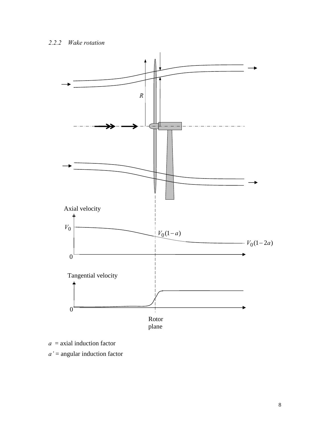

*a* = axial induction factor

*a'* = angular induction factor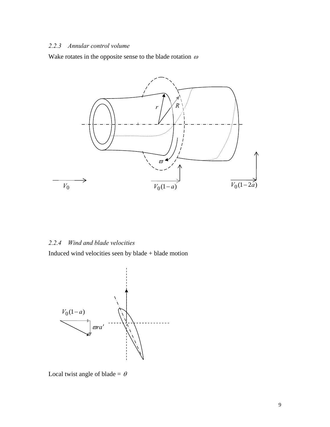### *2.2.3 Annular control volume*

Wake rotates in the opposite sense to the blade rotation  $\omega$ 



#### *2.2.4 Wind and blade velocities*

Induced wind velocities seen by blade + blade motion



Local twist angle of blade =  $\theta$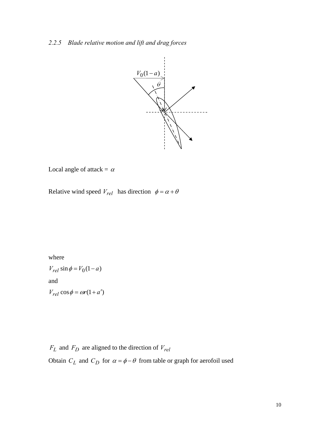

Local angle of attack =  $\alpha$ 

Relative wind speed  $V_{rel}$  has direction  $\phi = \alpha + \theta$ 

where

$$
V_{rel} \sin \phi = V_0 (1 - a)
$$
  
and  

$$
V_{rel} \cos \phi = \omega r (1 + a')
$$

 $F_L$  and  $F_D$  are aligned to the direction of  $V_{rel}$ 

Obtain  $C_L$  and  $C_D$  for  $\alpha = \phi - \theta$  from table or graph for aerofoil used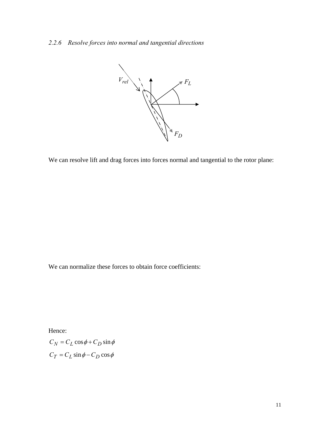## *2.2.6 Resolve forces into normal and tangential directions*



We can resolve lift and drag forces into forces normal and tangential to the rotor plane:

We can normalize these forces to obtain force coefficients:

Hence:

 $C_N = C_L \cos \phi + C_D \sin \phi$  $C_T = C_L \sin \phi - C_D \cos \phi$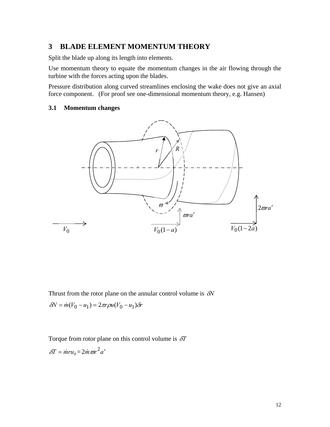## <span id="page-11-0"></span>**3 BLADE ELEMENT MOMENTUM THEORY**

Split the blade up along its length into elements.

Use momentum theory to equate the momentum changes in the air flowing through the turbine with the forces acting upon the blades.

Pressure distribution along curved streamlines enclosing the wake does not give an axial force component. (For proof see one-dimensional momentum theory, e.g. Hansen)

#### **3.1 Momentum changes**



Thrust from the rotor plane on the annular control volume is δ*N*  $δN = m(V_0 - u_1) = 2πrρu(V_0 - u_1)δr$ 

Torque from rotor plane on this control volume is δ*T*

$$
\delta T = \dot{m} r u_{\theta} = 2 \dot{m} \varpi r^2 a'
$$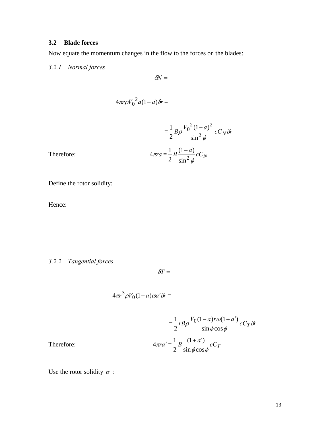## <span id="page-12-0"></span>**3.2 Blade forces**

Now equate the momentum changes in the flow to the forces on the blades:

## *3.2.1 Normal forces*

$$
\delta\!N=
$$

$$
4\pi r\rho V_0^2 a(1-a)\delta r =
$$

$$
= \frac{1}{2} B \rho \frac{V_0^2 (1-a)^2}{\sin^2 \phi} c C_N \delta r
$$

$$
\pi r a = \frac{1}{2} B \frac{(1-a)}{\sin^2 \phi} c C_N
$$

Therefore: 4<sub>1</sub>

Define the rotor solidity:

Hence:

## *3.2.2 Tangential forces*

$$
\delta\! T =
$$

$$
4\pi r^3 \rho V_0 (1-a) \omega a' \delta r =
$$

$$
= \frac{1}{2} r B \rho \frac{V_0 (1 - a) r \omega (1 + a')}{\sin \phi \cos \phi} c C_T \delta r
$$

$$
4 \pi r a' = \frac{1}{2} B \frac{(1 + a')}{\sin \phi \cos \phi} c C_T
$$

 $T$  *herefore:* 

Use the rotor solidity  $\sigma$  :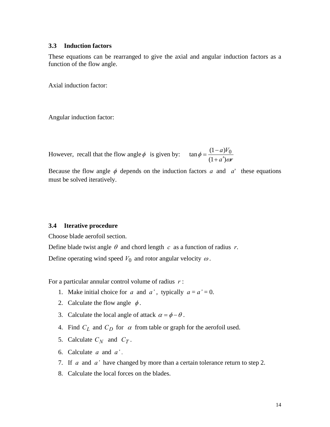#### <span id="page-13-0"></span>**3.3 Induction factors**

These equations can be rearranged to give the axial and angular induction factors as a function of the flow angle.

Axial induction factor:

Angular induction factor:

However, recall that the flow angle  $\phi$  is given by: *ra*  $a)V$  $\phi = \frac{(1-a)^{n}}{(1+a')\omega}$  $\tan \phi = \frac{(1-a)V_0}{(1-a)^2}$  $+a'$  $=\frac{(1-$ 

Because the flow angle  $\phi$  depends on the induction factors a and  $a'$  these equations must be solved iteratively.

#### **3.4 Iterative procedure**

Choose blade aerofoil section.

Define blade twist angle  $\theta$  and chord length  $c$  as a function of radius  $r$ . Define operating wind speed  $V_0$  and rotor angular velocity  $\omega$ .

For a particular annular control volume of radius *r* :

- 1. Make initial choice for *a* and *a'*, typically  $a = a' = 0$ .
- 2. Calculate the flow angle  $\phi$ .
- 3. Calculate the local angle of attack  $\alpha = \phi \theta$ .
- 4. Find  $C_L$  and  $C_D$  for  $\alpha$  from table or graph for the aerofoil used.
- 5. Calculate  $C_N$  and  $C_T$ .
- 6. Calculate *a* and *a' .*
- 7. If *a* and *a'* have changed by more than a certain tolerance return to step 2.
- 8. Calculate the local forces on the blades.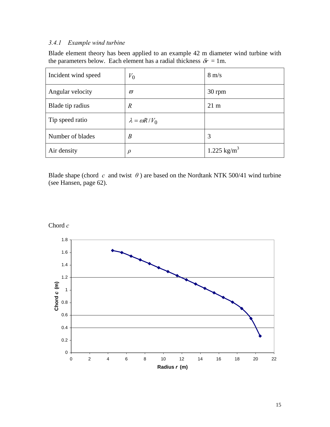## *3.4.1 Example wind turbine*

Blade element theory has been applied to an example 42 m diameter wind turbine with the parameters below. Each element has a radial thickness  $\delta r = 1$ m.

| Incident wind speed | $V_0$                    | $8 \text{ m/s}$         |
|---------------------|--------------------------|-------------------------|
| Angular velocity    | $\pi$                    | 30 rpm                  |
| Blade tip radius    | $\boldsymbol{R}$         | $21 \text{ m}$          |
| Tip speed ratio     | $\lambda = \omega R/V_0$ |                         |
| Number of blades    | $\boldsymbol{B}$         | 3                       |
| Air density         | $\rho$                   | 1.225 kg/m <sup>3</sup> |

Blade shape (chord *c* and twist  $\theta$ ) are based on the Nordtank NTK 500/41 wind turbine (see Hansen, page 62).

Chord *c*

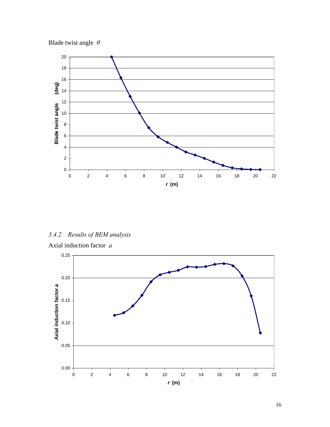



*3.4.2 Results of BEM analysis* 

Axial induction factor *a*

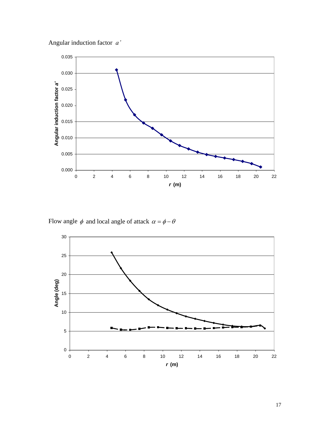



Flow angle  $\phi$  and local angle of attack  $\alpha = \phi - \theta$ 

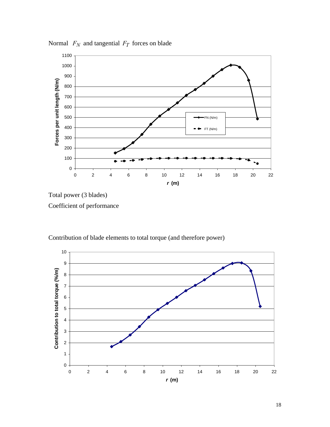

Normal  $F_N$  and tangential  $F_T$  forces on blade

Total power (3 blades) Coefficient of performance



Contribution of blade elements to total torque (and therefore power)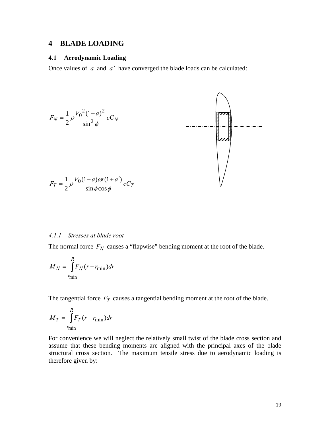#### <span id="page-18-0"></span>**4 BLADE LOADING**

#### **4.1 Aerodynamic Loading**

Once values of *a* and *a'* have converged the blade loads can be calculated:



#### *4.1.1 Stresses at blade root*

The normal force  $F_N$  causes a "flapwise" bending moment at the root of the blade.

$$
M_N = \int_{r_{\text{min}}}^{R} F_N(r - r_{\text{min}}) dr
$$

The tangential force  $F_T$  causes a tangential bending moment at the root of the blade.

$$
M_T = \int_{r_{\text{min}}}^{R} F_T(r - r_{\text{min}}) dr
$$

For convenience we will neglect the relatively small twist of the blade cross section and assume that these bending moments are aligned with the principal axes of the blade structural cross section. The maximum tensile stress due to aerodynamic loading is therefore given by: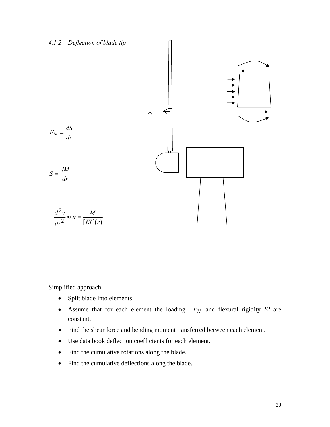

Simplified approach:

- Split blade into elements.
- Assume that for each element the loading  $F_N$  and flexural rigidity *EI* are constant.
- Find the shear force and bending moment transferred between each element.
- Use data book deflection coefficients for each element.
- Find the cumulative rotations along the blade.
- Find the cumulative deflections along the blade.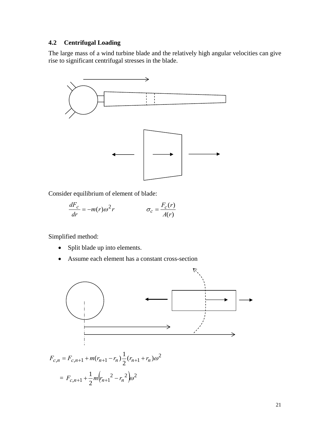#### <span id="page-20-0"></span>**4.2 Centrifugal Loading**

The large mass of a wind turbine blade and the relatively high angular velocities can give rise to significant centrifugal stresses in the blade.



Consider equilibrium of element of blade:

$$
\frac{dF_c}{dr} = -m(r)\omega^2 r \qquad \qquad \sigma_c = \frac{F_c(r)}{A(r)}
$$

Simplified method:

- Split blade up into elements.
- Assume each element has a constant cross-section

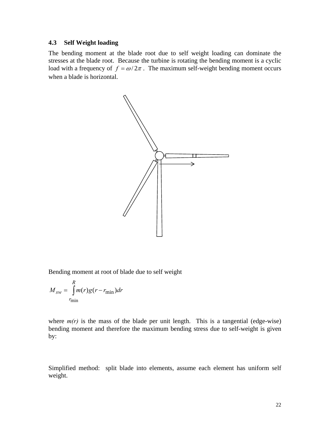#### <span id="page-21-0"></span>**4.3 Self Weight loading**

The bending moment at the blade root due to self weight loading can dominate the stresses at the blade root. Because the turbine is rotating the bending moment is a cyclic load with a frequency of  $f = \omega/2\pi$ . The maximum self-weight bending moment occurs when a blade is horizontal.



Bending moment at root of blade due to self weight

$$
M_{sw} = \int_{r_{\text{min}}}^{R} m(r)g(r - r_{\text{min}})dr
$$

where  $m(r)$  is the mass of the blade per unit length. This is a tangential (edge-wise) bending moment and therefore the maximum bending stress due to self-weight is given by:

Simplified method: split blade into elements, assume each element has uniform self weight.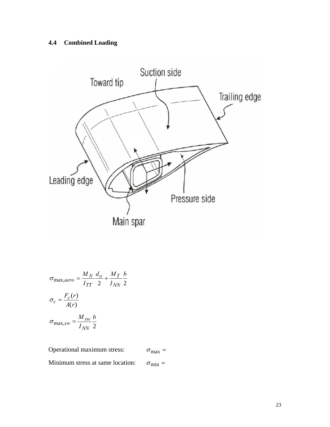# <span id="page-22-0"></span>**4.4 Combined Loading**



$$
\sigma_{\text{max,aero}} = \frac{M_N}{I_{TT}} \frac{d_o}{2} + \frac{M_T}{I_{NN}} \frac{b}{2}
$$

$$
\sigma_c = \frac{F_c(r)}{A(r)}
$$

$$
\sigma_{\text{max,sw}} = \frac{M_{sw}}{I_{NN}} \frac{b}{2}
$$

Operational maximum stress:  $\sigma_{\text{max}} =$ 

Minimum stress at same location:  $\sigma_{min} =$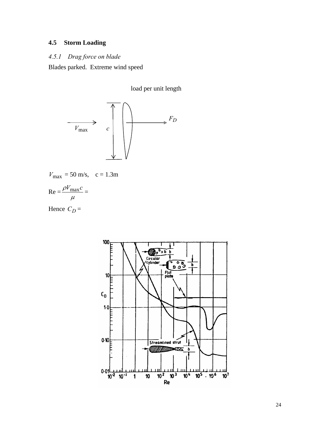# <span id="page-23-0"></span>**4.5 Storm Loading**

#### *4.5.1 Drag force on blade*

Blades parked. Extreme wind speed

load per unit length



$$
V_{\text{max}} = 50 \text{ m/s}, \quad c = 1.3 \text{m}
$$

$$
\text{Re} = \frac{\rho V_{\text{max}} c}{\mu} =
$$

Hence  $C_D =$